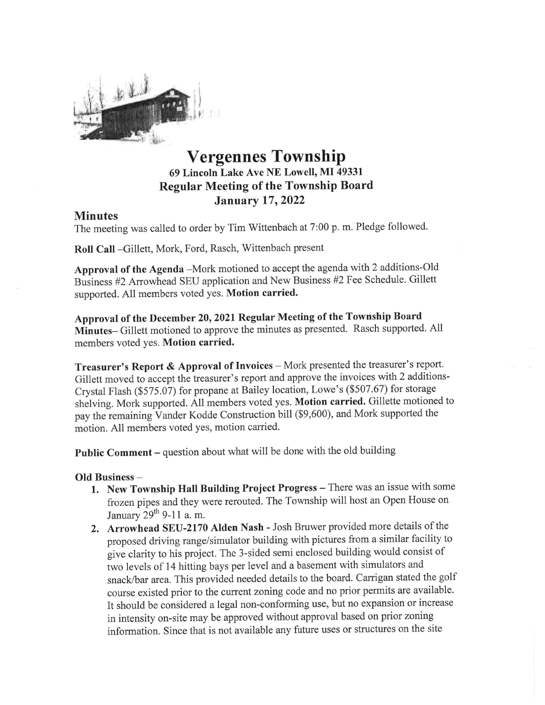

## Vergennes Township 69 Lincoln Lake Ave NE Lowell, MI 49331 Regular Meeting of the Township Board January 17,2022

## Minutes

The meeting was called to order by Tim Wittenbach at 7:00 p. m. Pledge followed.

Roll Call -Gillett, Mark, Ford, Rasch, Wittenbach present

Approval of the Agenda -Mork motioned to accept the agenda with 2 additions-Old Business #2 Arrowhead SEU application and New Business #2 Fee Schedule. Gillett supported. All members voted yes. Motion carried.

Approval of the December 20, 2021 Regular Meeting of the Township Board Minutes- Gillett motioned to approve the minutes as presented. Rasch supported. All members voted yes. Motion carried.

**Treasurer's Report & Approval of Invoices** – Mork presented the treasurer's report.<br>Gillett moved to accept the treasurer's report and approve the invoices with 2 additions-<br>Crystal Flash (\$575.07) for propane at Bailey motion. All members voted yes, motion carried.

Public Comment - question about what will be done with the old building

## Old Business -

- 1. New Township Hall Building Project Progress There was an issue with some frozen pipes and they were rerouted. The Township will host an Open House on January  $29<sup>th</sup>$  9-11 a.m.
- 2. Arrowhead SEU-2170 Alden Nash Josh Bruwer provided more details of the proposed driving range/simulator building with pictures from a similar facility to give clarity to his project. The 3-sided semi enclosed building would consist of two levels of 14 hitting bays per level and a basement with simulators and snack/bar area. This provided needed details to the board. Carrigan stated the golf course existed prior to the current zoning code and no prior permits are available. It should be considered a legal non-conforming use, but no expansion or increase in intensity on-site may be approved without approval based on prior zoning information. Since that is not available any future uses or stmctures on the site